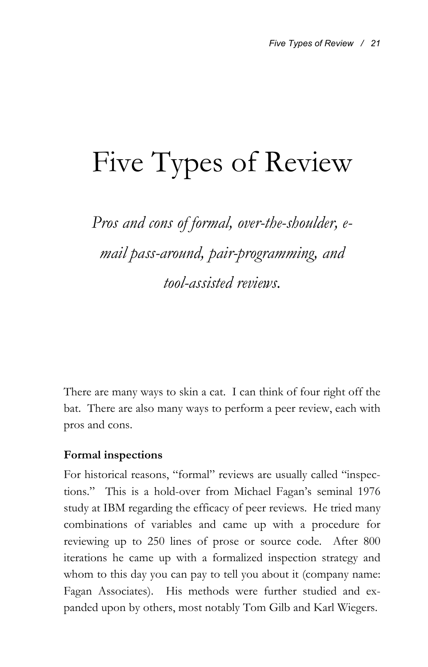# Five Types of Review

*Pros and cons of formal, over-the-shoulder, email pass-around, pair-programming, and tool-assisted reviews.* 

There are many ways to skin a cat. I can think of four right off the bat. There are also many ways to perform a peer review, each with pros and cons.

#### **Formal inspections**

For historical reasons, "formal" reviews are usually called "inspections." This is a hold-over from Michael Fagan's seminal 1976 study at IBM regarding the efficacy of peer reviews. He tried many combinations of variables and came up with a procedure for reviewing up to 250 lines of prose or source code. After 800 iterations he came up with a formalized inspection strategy and whom to this day you can pay to tell you about it (company name: Fagan Associates). His methods were further studied and expanded upon by others, most notably Tom Gilb and Karl Wiegers.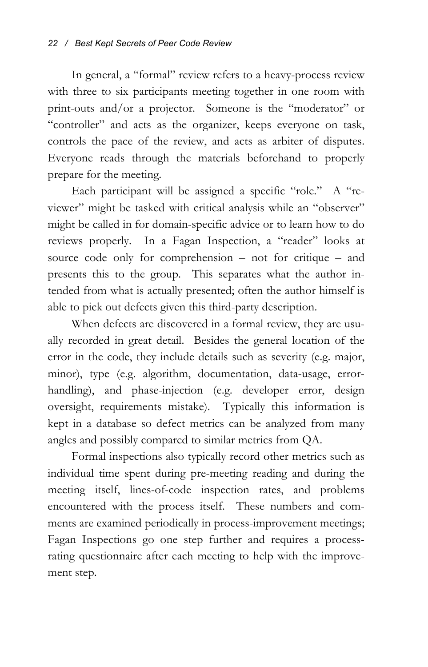In general, a "formal" review refers to a heavy-process review with three to six participants meeting together in one room with print-outs and/or a projector. Someone is the "moderator" or "controller" and acts as the organizer, keeps everyone on task, controls the pace of the review, and acts as arbiter of disputes. Everyone reads through the materials beforehand to properly prepare for the meeting.

Each participant will be assigned a specific "role." A "reviewer" might be tasked with critical analysis while an "observer" might be called in for domain-specific advice or to learn how to do reviews properly. In a Fagan Inspection, a "reader" looks at source code only for comprehension – not for critique – and presents this to the group. This separates what the author intended from what is actually presented; often the author himself is able to pick out defects given this third-party description.

When defects are discovered in a formal review, they are usually recorded in great detail. Besides the general location of the error in the code, they include details such as severity (e.g. major, minor), type (e.g. algorithm, documentation, data-usage, errorhandling), and phase-injection (e.g. developer error, design oversight, requirements mistake). Typically this information is kept in a database so defect metrics can be analyzed from many angles and possibly compared to similar metrics from QA.

Formal inspections also typically record other metrics such as individual time spent during pre-meeting reading and during the meeting itself, lines-of-code inspection rates, and problems encountered with the process itself. These numbers and comments are examined periodically in process-improvement meetings; Fagan Inspections go one step further and requires a processrating questionnaire after each meeting to help with the improvement step.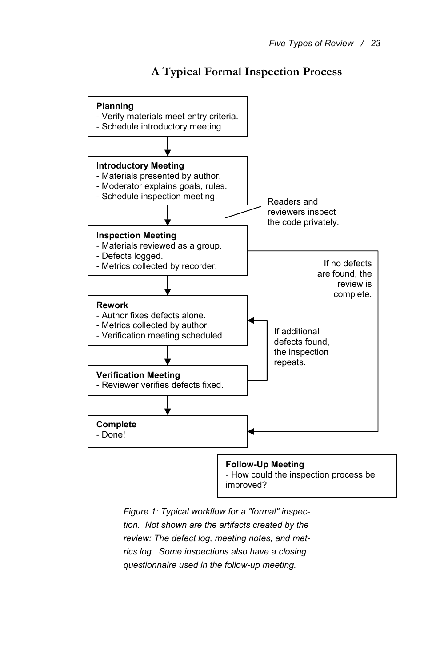



*Figure 1: Typical workflow for a "formal" inspection. Not shown are the artifacts created by the review: The defect log, meeting notes, and metrics log. Some inspections also have a closing questionnaire used in the follow-up meeting.*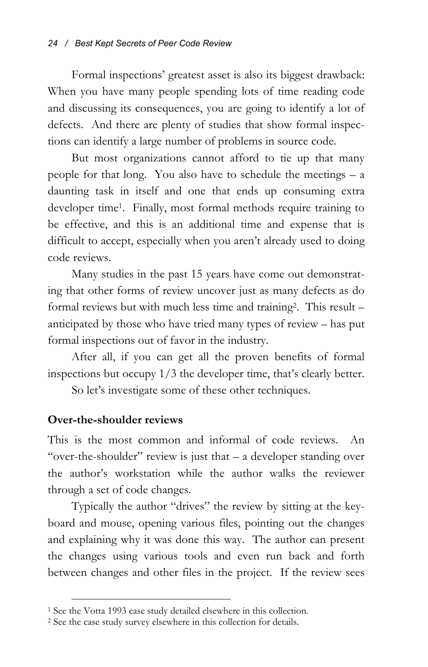Formal inspections' greatest asset is also its biggest drawback: When you have many people spending lots of time reading code and discussing its consequences, you are going to identify a lot of defects. And there are plenty of studies that show formal inspections can identify a large number of problems in source code.

But most organizations cannot afford to tie up that many people for that long. You also have to schedule the meetings – a daunting task in itself and one that ends up consuming extra developer time1. Finally, most formal methods require training to be effective, and this is an additional time and expense that is difficult to accept, especially when you aren't already used to doing code reviews.

Many studies in the past 15 years have come out demonstrating that other forms of review uncover just as many defects as do formal reviews but with much less time and training2. This result – anticipated by those who have tried many types of review – has put formal inspections out of favor in the industry.

After all, if you can get all the proven benefits of formal inspections but occupy 1/3 the developer time, that's clearly better.

So let's investigate some of these other techniques.

#### **Over-the-shoulder reviews**

This is the most common and informal of code reviews. An "over-the-shoulder" review is just that – a developer standing over the author's workstation while the author walks the reviewer through a set of code changes.

Typically the author "drives" the review by sitting at the keyboard and mouse, opening various files, pointing out the changes and explaining why it was done this way. The author can present the changes using various tools and even run back and forth between changes and other files in the project. If the review sees

 <sup>1</sup> See the Votta 1993 case study detailed elsewhere in this collection.

<sup>2</sup> See the case study survey elsewhere in this collection for details.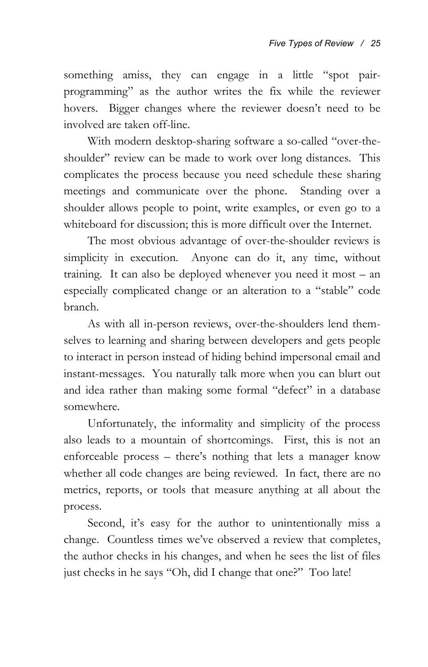something amiss, they can engage in a little "spot pairprogramming" as the author writes the fix while the reviewer hovers. Bigger changes where the reviewer doesn't need to be involved are taken off-line.

With modern desktop-sharing software a so-called "over-theshoulder" review can be made to work over long distances. This complicates the process because you need schedule these sharing meetings and communicate over the phone. Standing over a shoulder allows people to point, write examples, or even go to a whiteboard for discussion; this is more difficult over the Internet.

The most obvious advantage of over-the-shoulder reviews is simplicity in execution. Anyone can do it, any time, without training. It can also be deployed whenever you need it most – an especially complicated change or an alteration to a "stable" code branch.

As with all in-person reviews, over-the-shoulders lend themselves to learning and sharing between developers and gets people to interact in person instead of hiding behind impersonal email and instant-messages. You naturally talk more when you can blurt out and idea rather than making some formal "defect" in a database somewhere.

Unfortunately, the informality and simplicity of the process also leads to a mountain of shortcomings. First, this is not an enforceable process – there's nothing that lets a manager know whether all code changes are being reviewed. In fact, there are no metrics, reports, or tools that measure anything at all about the process.

Second, it's easy for the author to unintentionally miss a change. Countless times we've observed a review that completes, the author checks in his changes, and when he sees the list of files just checks in he says "Oh, did I change that one?" Too late!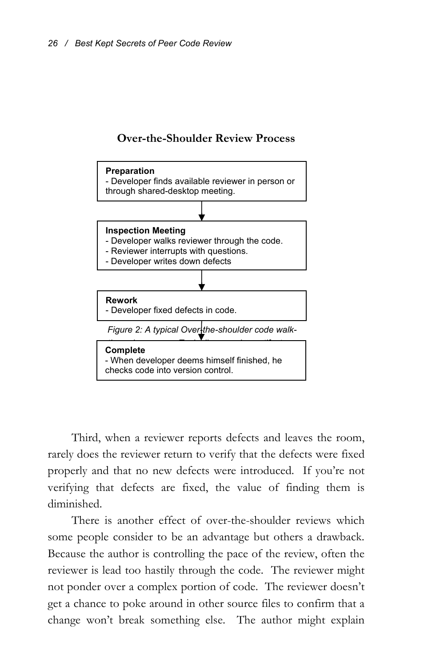### **Over-the-Shoulder Review Process**



Third, when a reviewer reports defects and leaves the room, rarely does the reviewer return to verify that the defects were fixed properly and that no new defects were introduced. If you're not verifying that defects are fixed, the value of finding them is diminished.

There is another effect of over-the-shoulder reviews which some people consider to be an advantage but others a drawback. Because the author is controlling the pace of the review, often the reviewer is lead too hastily through the code. The reviewer might not ponder over a complex portion of code. The reviewer doesn't get a chance to poke around in other source files to confirm that a change won't break something else. The author might explain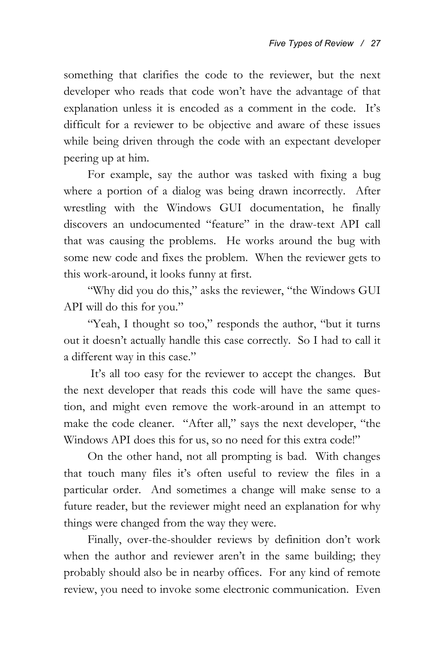something that clarifies the code to the reviewer, but the next developer who reads that code won't have the advantage of that explanation unless it is encoded as a comment in the code. It's difficult for a reviewer to be objective and aware of these issues while being driven through the code with an expectant developer peering up at him.

For example, say the author was tasked with fixing a bug where a portion of a dialog was being drawn incorrectly. After wrestling with the Windows GUI documentation, he finally discovers an undocumented "feature" in the draw-text API call that was causing the problems. He works around the bug with some new code and fixes the problem. When the reviewer gets to this work-around, it looks funny at first.

"Why did you do this," asks the reviewer, "the Windows GUI API will do this for you."

"Yeah, I thought so too," responds the author, "but it turns out it doesn't actually handle this case correctly. So I had to call it a different way in this case."

 It's all too easy for the reviewer to accept the changes. But the next developer that reads this code will have the same question, and might even remove the work-around in an attempt to make the code cleaner. "After all," says the next developer, "the Windows API does this for us, so no need for this extra code!"

On the other hand, not all prompting is bad. With changes that touch many files it's often useful to review the files in a particular order. And sometimes a change will make sense to a future reader, but the reviewer might need an explanation for why things were changed from the way they were.

Finally, over-the-shoulder reviews by definition don't work when the author and reviewer aren't in the same building; they probably should also be in nearby offices. For any kind of remote review, you need to invoke some electronic communication. Even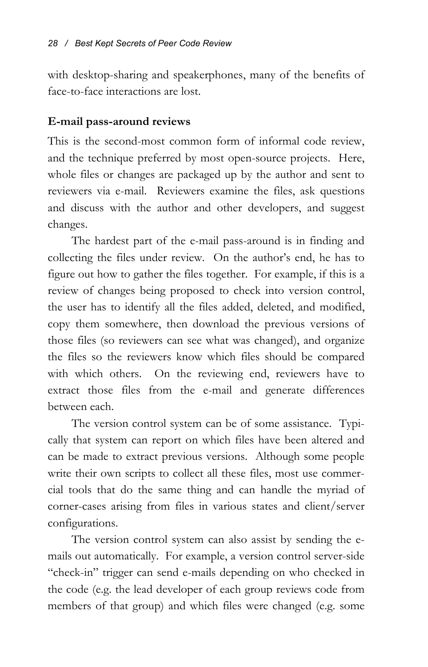with desktop-sharing and speakerphones, many of the benefits of face-to-face interactions are lost.

## **E-mail pass-around reviews**

This is the second-most common form of informal code review, and the technique preferred by most open-source projects. Here, whole files or changes are packaged up by the author and sent to reviewers via e-mail. Reviewers examine the files, ask questions and discuss with the author and other developers, and suggest changes.

The hardest part of the e-mail pass-around is in finding and collecting the files under review. On the author's end, he has to figure out how to gather the files together. For example, if this is a review of changes being proposed to check into version control, the user has to identify all the files added, deleted, and modified, copy them somewhere, then download the previous versions of those files (so reviewers can see what was changed), and organize the files so the reviewers know which files should be compared with which others. On the reviewing end, reviewers have to extract those files from the e-mail and generate differences between each.

The version control system can be of some assistance. Typically that system can report on which files have been altered and can be made to extract previous versions. Although some people write their own scripts to collect all these files, most use commercial tools that do the same thing and can handle the myriad of corner-cases arising from files in various states and client/server configurations.

The version control system can also assist by sending the emails out automatically. For example, a version control server-side "check-in" trigger can send e-mails depending on who checked in the code (e.g. the lead developer of each group reviews code from members of that group) and which files were changed (e.g. some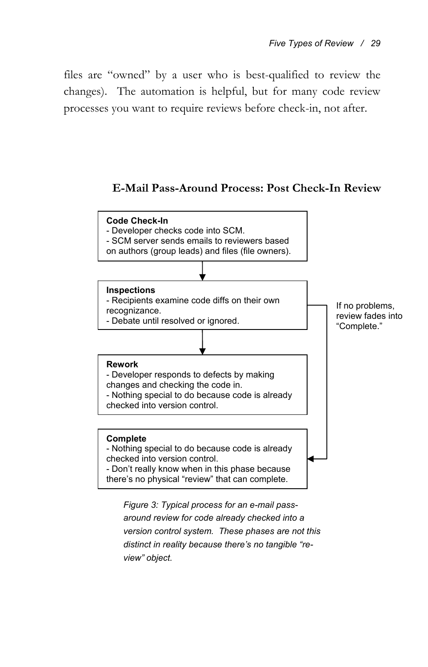files are "owned" by a user who is best-qualified to review the changes). The automation is helpful, but for many code review processes you want to require reviews before check-in, not after.

#### **E-Mail Pass-Around Process: Post Check-In Review**



*Figure 3: Typical process for an e-mail passaround review for code already checked into a version control system. These phases are not this distinct in reality because there's no tangible "review" object.*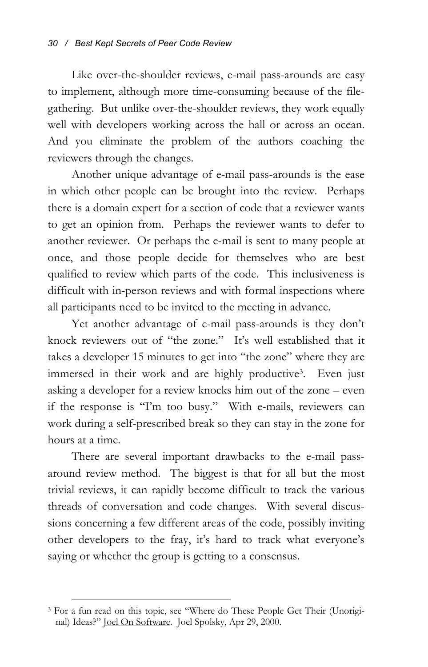Like over-the-shoulder reviews, e-mail pass-arounds are easy to implement, although more time-consuming because of the filegathering. But unlike over-the-shoulder reviews, they work equally well with developers working across the hall or across an ocean. And you eliminate the problem of the authors coaching the reviewers through the changes.

Another unique advantage of e-mail pass-arounds is the ease in which other people can be brought into the review. Perhaps there is a domain expert for a section of code that a reviewer wants to get an opinion from. Perhaps the reviewer wants to defer to another reviewer. Or perhaps the e-mail is sent to many people at once, and those people decide for themselves who are best qualified to review which parts of the code. This inclusiveness is difficult with in-person reviews and with formal inspections where all participants need to be invited to the meeting in advance.

Yet another advantage of e-mail pass-arounds is they don't knock reviewers out of "the zone." It's well established that it takes a developer 15 minutes to get into "the zone" where they are immersed in their work and are highly productive3. Even just asking a developer for a review knocks him out of the zone – even if the response is "I'm too busy." With e-mails, reviewers can work during a self-prescribed break so they can stay in the zone for hours at a time.

There are several important drawbacks to the e-mail passaround review method. The biggest is that for all but the most trivial reviews, it can rapidly become difficult to track the various threads of conversation and code changes. With several discussions concerning a few different areas of the code, possibly inviting other developers to the fray, it's hard to track what everyone's saying or whether the group is getting to a consensus.

 <sup>3</sup> For a fun read on this topic, see "Where do These People Get Their (Unoriginal) Ideas?" Joel On Software. Joel Spolsky, Apr 29, 2000.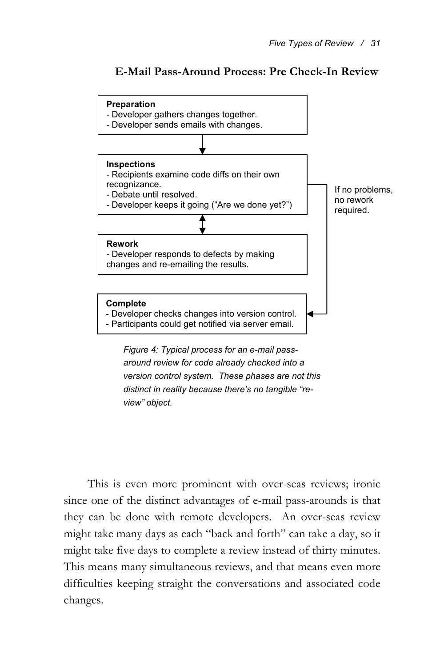## **E-Mail Pass-Around Process: Pre Check-In Review**



This is even more prominent with over-seas reviews; ironic since one of the distinct advantages of e-mail pass-arounds is that they can be done with remote developers. An over-seas review might take many days as each "back and forth" can take a day, so it might take five days to complete a review instead of thirty minutes. This means many simultaneous reviews, and that means even more difficulties keeping straight the conversations and associated code changes.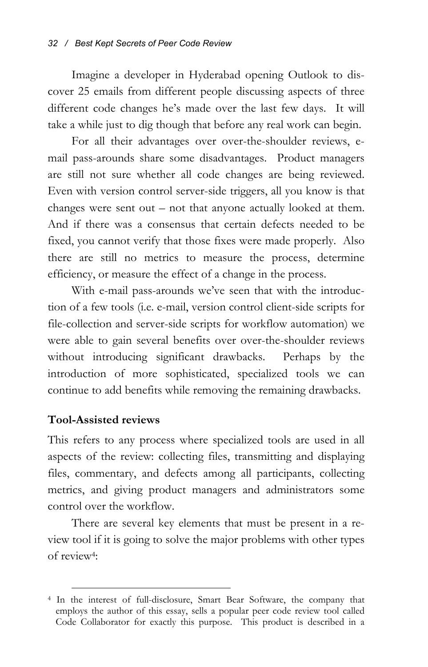Imagine a developer in Hyderabad opening Outlook to discover 25 emails from different people discussing aspects of three different code changes he's made over the last few days. It will take a while just to dig though that before any real work can begin.

For all their advantages over over-the-shoulder reviews, email pass-arounds share some disadvantages. Product managers are still not sure whether all code changes are being reviewed. Even with version control server-side triggers, all you know is that changes were sent out – not that anyone actually looked at them. And if there was a consensus that certain defects needed to be fixed, you cannot verify that those fixes were made properly. Also there are still no metrics to measure the process, determine efficiency, or measure the effect of a change in the process.

With e-mail pass-arounds we've seen that with the introduction of a few tools (i.e. e-mail, version control client-side scripts for file-collection and server-side scripts for workflow automation) we were able to gain several benefits over over-the-shoulder reviews without introducing significant drawbacks. Perhaps by the introduction of more sophisticated, specialized tools we can continue to add benefits while removing the remaining drawbacks.

## **Tool-Assisted reviews**

This refers to any process where specialized tools are used in all aspects of the review: collecting files, transmitting and displaying files, commentary, and defects among all participants, collecting metrics, and giving product managers and administrators some control over the workflow.

There are several key elements that must be present in a review tool if it is going to solve the major problems with other types of review4:

 <sup>4</sup> In the interest of full-disclosure, Smart Bear Software, the company that employs the author of this essay, sells a popular peer code review tool called Code Collaborator for exactly this purpose. This product is described in a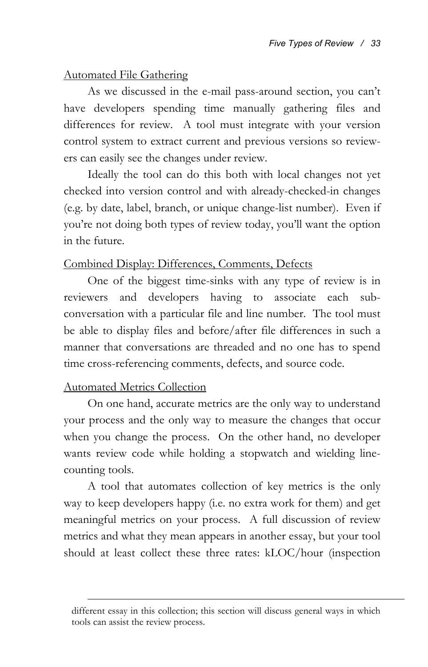### Automated File Gathering

As we discussed in the e-mail pass-around section, you can't have developers spending time manually gathering files and differences for review. A tool must integrate with your version control system to extract current and previous versions so reviewers can easily see the changes under review.

Ideally the tool can do this both with local changes not yet checked into version control and with already-checked-in changes (e.g. by date, label, branch, or unique change-list number). Even if you're not doing both types of review today, you'll want the option in the future.

## Combined Display: Differences, Comments, Defects

One of the biggest time-sinks with any type of review is in reviewers and developers having to associate each subconversation with a particular file and line number. The tool must be able to display files and before/after file differences in such a manner that conversations are threaded and no one has to spend time cross-referencing comments, defects, and source code.

## Automated Metrics Collection

On one hand, accurate metrics are the only way to understand your process and the only way to measure the changes that occur when you change the process. On the other hand, no developer wants review code while holding a stopwatch and wielding linecounting tools.

A tool that automates collection of key metrics is the only way to keep developers happy (i.e. no extra work for them) and get meaningful metrics on your process. A full discussion of review metrics and what they mean appears in another essay, but your tool should at least collect these three rates: kLOC/hour (inspection

different essay in this collection; this section will discuss general ways in which tools can assist the review process.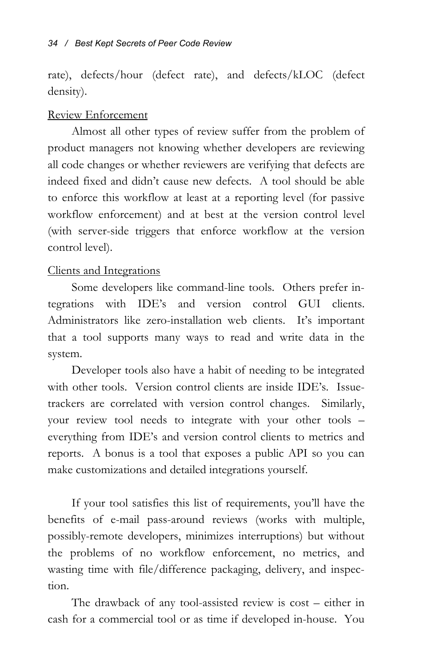rate), defects/hour (defect rate), and defects/kLOC (defect density).

#### Review Enforcement

Almost all other types of review suffer from the problem of product managers not knowing whether developers are reviewing all code changes or whether reviewers are verifying that defects are indeed fixed and didn't cause new defects. A tool should be able to enforce this workflow at least at a reporting level (for passive workflow enforcement) and at best at the version control level (with server-side triggers that enforce workflow at the version control level).

#### Clients and Integrations

Some developers like command-line tools. Others prefer integrations with IDE's and version control GUI clients. Administrators like zero-installation web clients. It's important that a tool supports many ways to read and write data in the system.

Developer tools also have a habit of needing to be integrated with other tools. Version control clients are inside IDE's. Issuetrackers are correlated with version control changes. Similarly, your review tool needs to integrate with your other tools – everything from IDE's and version control clients to metrics and reports. A bonus is a tool that exposes a public API so you can make customizations and detailed integrations yourself.

If your tool satisfies this list of requirements, you'll have the benefits of e-mail pass-around reviews (works with multiple, possibly-remote developers, minimizes interruptions) but without the problems of no workflow enforcement, no metrics, and wasting time with file/difference packaging, delivery, and inspection.

The drawback of any tool-assisted review is cost – either in cash for a commercial tool or as time if developed in-house. You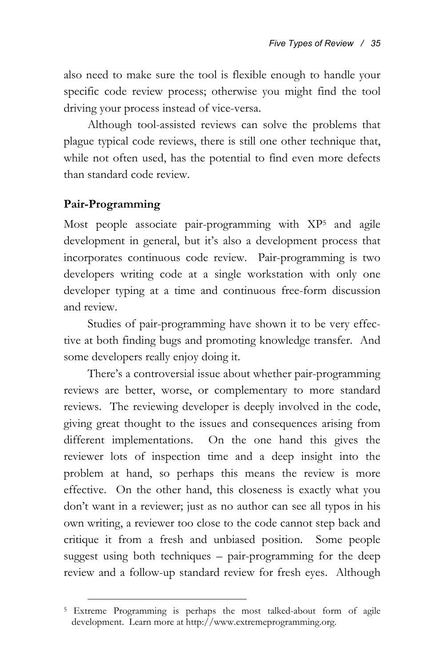also need to make sure the tool is flexible enough to handle your specific code review process; otherwise you might find the tool driving your process instead of vice-versa.

Although tool-assisted reviews can solve the problems that plague typical code reviews, there is still one other technique that, while not often used, has the potential to find even more defects than standard code review.

## **Pair-Programming**

Most people associate pair-programming with XP5 and agile development in general, but it's also a development process that incorporates continuous code review. Pair-programming is two developers writing code at a single workstation with only one developer typing at a time and continuous free-form discussion and review.

Studies of pair-programming have shown it to be very effective at both finding bugs and promoting knowledge transfer. And some developers really enjoy doing it.

There's a controversial issue about whether pair-programming reviews are better, worse, or complementary to more standard reviews. The reviewing developer is deeply involved in the code, giving great thought to the issues and consequences arising from different implementations. On the one hand this gives the reviewer lots of inspection time and a deep insight into the problem at hand, so perhaps this means the review is more effective. On the other hand, this closeness is exactly what you don't want in a reviewer; just as no author can see all typos in his own writing, a reviewer too close to the code cannot step back and critique it from a fresh and unbiased position. Some people suggest using both techniques – pair-programming for the deep review and a follow-up standard review for fresh eyes. Although

 <sup>5</sup> Extreme Programming is perhaps the most talked-about form of agile development. Learn more at http://www.extremeprogramming.org.